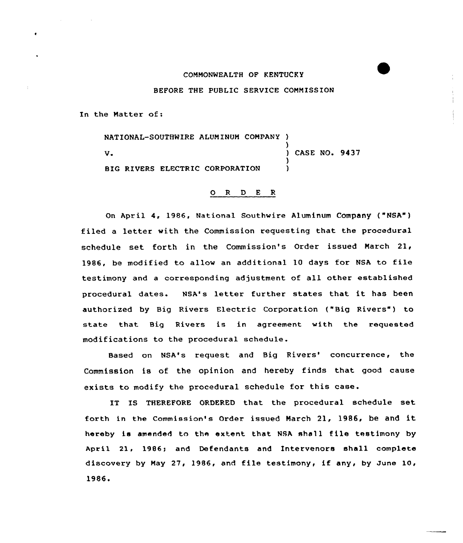## COMMONWEALTH OF KENTUCKY

BEFORE THE PUBLIC SERVICE COMMISSION

In the Matter of:

NATIONAL-SOUTHWIRE ALUMINUM COMPANY ) V.<br>
V. (2008) CASE NO. 9437  $\left\{ \right\}$ BIG RIVERS ELECTRIC CORPORATION

## 0 <sup>R</sup> <sup>D</sup> E <sup>R</sup>

On April 4, 1986, National Southwire Aluminum Company ("NSA" ) filed a letter with the Commission requesting that the procedural schedule set forth in the Commission's Order issued March 21, 1986, be modified to allow an additional <sup>10</sup> days for NSA to file testimony and <sup>a</sup> corresponding adjustment of all other established procedural dates. NSA's letter further states that it has been authorized by Big Rivers Electric Corporation ("Big Rivers") to state that Big Rivers is in agreement with the requested modifications to the procedural schedule.

Based on NSA's request and Big Rivers' concurrence, the Commission is of the opinion and hereby finds that good cause exists to modify the procedural schedule for this case.

IT IS THEREFORE ORDERED that the procedural schedule set forth in the Commission's Order issued March 21, 1986, be and it hereby is amended to the extent that NSA shall file testimony by April 21, 1986; and Defendants and Intervenors shall complete discovery by May 27, 1986, and file testimony, if any, by June 10, 1986'